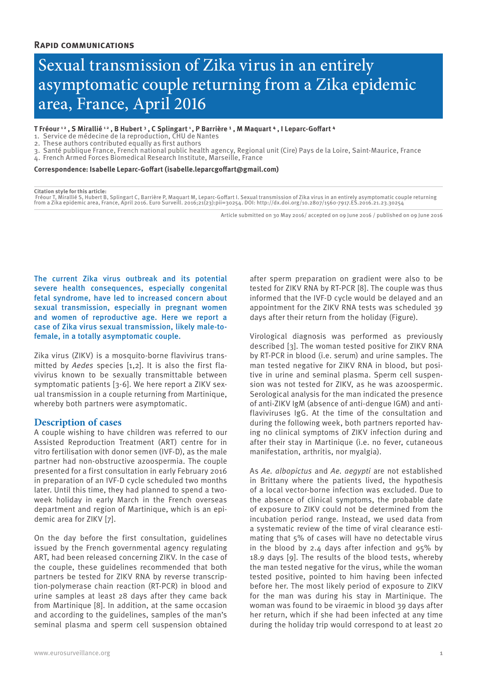# Sexual transmission of Zika virus in an entirely asymptomatic couple returning from a Zika epidemic area, France, April 2016

## T Fréour <sup>12</sup> , **S** Mirallié <sup>12</sup> , B Hubert <sup>3</sup> , C Splingart <sup>1</sup> , P Barrière <sup>1</sup> , M Maquart <sup>4</sup> , I Leparc-Goffart <sup>4</sup>

- 1. Service de médecine de la reproduction, CHU de Nantes
- 2. These authors contributed equally as first authors
- 3. Santé publique France, French national public health agency, Regional unit (Cire) Pays de la Loire, Saint-Maurice, France
- 4. French Armed Forces Biomedical Research Institute, Marseille, France

### **Correspondence: Isabelle Leparc-Goffart (isabelle.leparcgoffart@gmail.com)**

#### **Citation style for this article:**

Fréour T, Mirallié S, Hubert B, Splingart C, Barrière P, Maquart M, Leparc-Goffart I. Sexual transmission of Zika virus in an entirely asymptomatic couple returning<br>from a Zika epidemic area, France, April 2016. Euro Surve

Article submitted on 30 May 2016/ accepted on 09 June 2016 / published on 09 June 2016

The current Zika virus outbreak and its potential severe health consequences, especially congenital fetal syndrome, have led to increased concern about sexual transmission, especially in pregnant women and women of reproductive age. Here we report a case of Zika virus sexual transmission, likely male-tofemale, in a totally asymptomatic couple.

Zika virus (ZIKV) is a mosquito-borne flavivirus transmitted by *Aedes* species [1,2]. It is also the first flavivirus known to be sexually transmittable between symptomatic patients [3-6]. We here report a ZIKV sexual transmission in a couple returning from Martinique, whereby both partners were asymptomatic.

# **Description of cases**

A couple wishing to have children was referred to our Assisted Reproduction Treatment (ART) centre for in vitro fertilisation with donor semen (IVF-D), as the male partner had non-obstructive azoospermia. The couple presented for a first consultation in early February 2016 in preparation of an IVF-D cycle scheduled two months later. Until this time, they had planned to spend a twoweek holiday in early March in the French overseas department and region of Martinique, which is an epidemic area for ZIKV [7].

On the day before the first consultation, guidelines issued by the French governmental agency regulating ART, had been released concerning ZIKV. In the case of the couple, these guidelines recommended that both partners be tested for ZIKV RNA by reverse transcription-polymerase chain reaction (RT-PCR) in blood and urine samples at least 28 days after they came back from Martinique [8]. In addition, at the same occasion and according to the guidelines, samples of the man's seminal plasma and sperm cell suspension obtained after sperm preparation on gradient were also to be tested for ZIKV RNA by RT-PCR [8]. The couple was thus informed that the IVF-D cycle would be delayed and an appointment for the ZIKV RNA tests was scheduled 39 days after their return from the holiday (Figure).

Virological diagnosis was performed as previously described [3]. The woman tested positive for ZIKV RNA by RT-PCR in blood (i.e. serum) and urine samples. The man tested negative for ZIKV RNA in blood, but positive in urine and seminal plasma. Sperm cell suspension was not tested for ZIKV, as he was azoospermic. Serological analysis for the man indicated the presence of anti-ZIKV IgM (absence of anti-dengue IGM) and antiflaviviruses IgG. At the time of the consultation and during the following week, both partners reported having no clinical symptoms of ZIKV infection during and after their stay in Martinique (i.e. no fever, cutaneous manifestation, arthritis, nor myalgia).

As *Ae. albopictus* and *Ae. aegypti* are not established in Brittany where the patients lived, the hypothesis of a local vector-borne infection was excluded. Due to the absence of clinical symptoms, the probable date of exposure to ZIKV could not be determined from the incubation period range. Instead, we used data from a systematic review of the time of viral clearance estimating that 5% of cases will have no detectable virus in the blood by 2.4 days after infection and  $95\%$  by 18.9 days [9]. The results of the blood tests, whereby the man tested negative for the virus, while the woman tested positive, pointed to him having been infected before her. The most likely period of exposure to ZIKV for the man was during his stay in Martinique. The woman was found to be viraemic in blood 39 days after her return, which if she had been infected at any time during the holiday trip would correspond to at least 20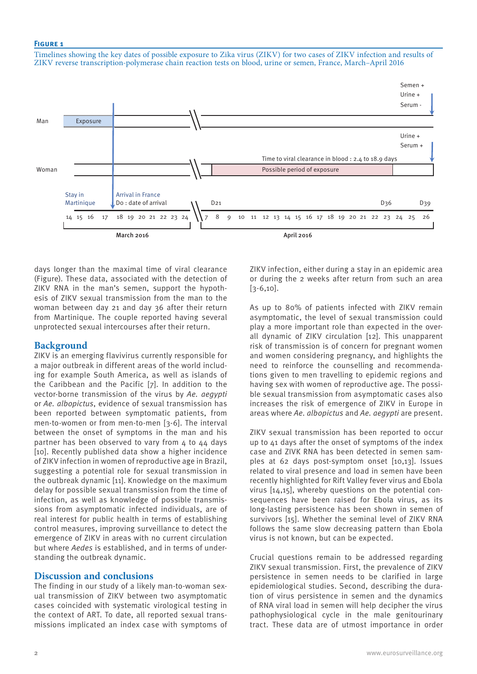# **Figure 1**

Timelines showing the key dates of possible exposure to Zika virus (ZIKV) for two cases of ZIKV infection and results of ZIKV reverse transcription-polymerase chain reaction tests on blood, urine or semen, France, March–April 2016



days longer than the maximal time of viral clearance (Figure). These data, associated with the detection of ZIKV RNA in the man's semen, support the hypothesis of ZIKV sexual transmission from the man to the woman between day 21 and day 36 after their return from Martinique. The couple reported having several unprotected sexual intercourses after their return.

# **Background**

ZIKV is an emerging flavivirus currently responsible for a major outbreak in different areas of the world including for example South America, as well as islands of the Caribbean and the Pacific [7]. In addition to the vector-borne transmission of the virus by *Ae. aegypti* or *Ae. albopictus*, evidence of sexual transmission has been reported between symptomatic patients, from men-to-women or from men-to-men [3-6]. The interval between the onset of symptoms in the man and his partner has been observed to vary from 4 to 44 days [10]. Recently published data show a higher incidence of ZIKV infection in women of reproductive age in Brazil, suggesting a potential role for sexual transmission in the outbreak dynamic [11]. Knowledge on the maximum delay for possible sexual transmission from the time of infection, as well as knowledge of possible transmissions from asymptomatic infected individuals, are of real interest for public health in terms of establishing control measures, improving surveillance to detect the emergence of ZIKV in areas with no current circulation but where *Aedes* is established, and in terms of understanding the outbreak dynamic.

# **Discussion and conclusions**

The finding in our study of a likely man-to-woman sexual transmission of ZIKV between two asymptomatic cases coincided with systematic virological testing in the context of ART. To date, all reported sexual transmissions implicated an index case with symptoms of ZIKV infection, either during a stay in an epidemic area or during the 2 weeks after return from such an area  $[3-6,10]$ .

As up to 80% of patients infected with ZIKV remain asymptomatic, the level of sexual transmission could play a more important role than expected in the overall dynamic of ZIKV circulation [12]. This unapparent risk of transmission is of concern for pregnant women and women considering pregnancy, and highlights the need to reinforce the counselling and recommendations given to men travelling to epidemic regions and having sex with women of reproductive age. The possible sexual transmission from asymptomatic cases also increases the risk of emergence of ZIKV in Europe in areas where *Ae. albopictus* and *Ae. aegypti* are present.

ZIKV sexual transmission has been reported to occur up to 41 days after the onset of symptoms of the index case and ZIVK RNA has been detected in semen samples at 62 days post-symptom onset [10,13]. Issues related to viral presence and load in semen have been recently highlighted for Rift Valley fever virus and Ebola virus [14,15], whereby questions on the potential consequences have been raised for Ebola virus, as its long-lasting persistence has been shown in semen of survivors [15]. Whether the seminal level of ZIKV RNA follows the same slow decreasing pattern than Ebola virus is not known, but can be expected.

Crucial questions remain to be addressed regarding ZIKV sexual transmission. First, the prevalence of ZIKV persistence in semen needs to be clarified in large epidemiological studies. Second, describing the duration of virus persistence in semen and the dynamics of RNA viral load in semen will help decipher the virus pathophysiological cycle in the male genitourinary tract. These data are of utmost importance in order